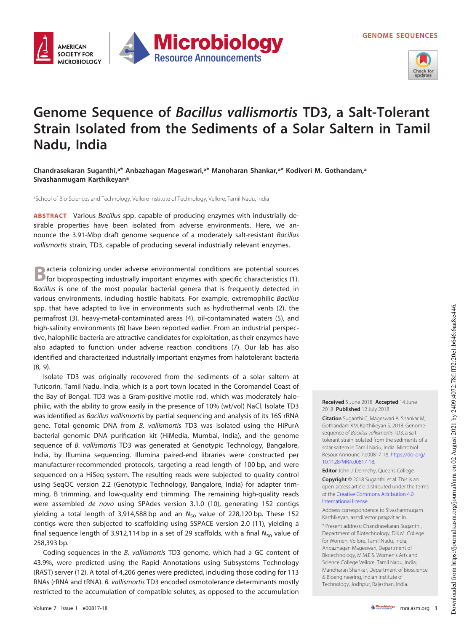

## **Genome Sequence of Bacillus vallismortis TD3, a Salt-Tolerant Strain Isolated from the Sediments of a Solar Saltern in Tamil Nadu, India**

**Microbiology** 

**Resource Announcements** 

**Chandrasekaran Suganthi,<sup>a</sup> \* Anbazhagan Mageswari,<sup>a</sup> \* Manoharan Shankar,<sup>a</sup> \* Kodiveri M. Gothandam,<sup>a</sup> Sivashanmugam Karthikeyan<sup>a</sup>**

aSchool of Bio-Sciences and Technology, Vellore Institute of Technology, Vellore, Tamil Nadu, India

**AMERICAN SOCIETY FOR** 

**MICROBIOLOGY** 

**ABSTRACT** Various Bacillus spp. capable of producing enzymes with industrially desirable properties have been isolated from adverse environments. Here, we announce the 3.91-Mbp draft genome sequence of a moderately salt-resistant Bacillus vallismortis strain, TD3, capable of producing several industrially relevant enzymes.

**B** acteria colonizing under adverse environmental conditions are potential sources<br> **B** for bioprospecting industrially important enzymes with specific characteristics [\(1\)](#page-1-0). acteria colonizing under adverse environmental conditions are potential sources Bacillus is one of the most popular bacterial genera that is frequently detected in various environments, including hostile habitats. For example, extremophilic Bacillus spp. that have adapted to live in environments such as hydrothermal vents [\(2\)](#page-1-1), the permafrost [\(3\)](#page-1-2), heavy-metal-contaminated areas [\(4\)](#page-1-3), oil-contaminated waters [\(5\)](#page-1-4), and high-salinity environments [\(6\)](#page-1-5) have been reported earlier. From an industrial perspective, halophilic bacteria are attractive candidates for exploitation, as their enzymes have also adapted to function under adverse reaction conditions [\(7\)](#page-1-6). Our lab has also identified and characterized industrially important enzymes from halotolerant bacteria [\(8,](#page-1-7) [9\)](#page-1-8).

Isolate TD3 was originally recovered from the sediments of a solar saltern at Tuticorin, Tamil Nadu, India, which is a port town located in the Coromandel Coast of the Bay of Bengal. TD3 was a Gram-positive motile rod, which was moderately halophilic, with the ability to grow easily in the presence of 10% (wt/vol) NaCl. Isolate TD3 was identified as Bacillus vallismortis by partial sequencing and analysis of its 16S rRNA gene. Total genomic DNA from B. vallismortis TD3 was isolated using the HiPurA bacterial genomic DNA purification kit (HiMedia, Mumbai, India), and the genome sequence of B. vallismortis TD3 was generated at Genotypic Technology, Bangalore, India, by Illumina sequencing. Illumina paired-end libraries were constructed per manufacturer-recommended protocols, targeting a read length of 100 bp, and were sequenced on a HiSeq system. The resulting reads were subjected to quality control using SeqQC version 2.2 (Genotypic Technology, Bangalore, India) for adapter trimming, B trimming, and low-quality end trimming. The remaining high-quality reads were assembled de novo using SPAdes version 3.1.0 [\(10\)](#page-1-9), generating 152 contigs yielding a total length of 3,914,588 bp and an  $N_{50}$  value of 228,120 bp. These 152 contigs were then subjected to scaffolding using SSPACE version 2.0 [\(11\)](#page-1-10), yielding a final sequence length of 3,912,114 bp in a set of 29 scaffolds, with a final  $N_{50}$  value of 258,393 bp.

Coding sequences in the B. vallismortis TD3 genome, which had a GC content of 43.9%, were predicted using the Rapid Annotations using Subsystems Technology (RAST) server [\(12\)](#page-1-11). A total of 4,206 genes were predicted, including those coding for 113 RNAs (rRNA and tRNA). B. vallismortis TD3 encoded osmotolerance determinants mostly restricted to the accumulation of compatible solutes, as opposed to the accumulation

**Received** 5 June 2018 **Accepted** 14 June 2018 **Published** 12 July 2018

**Citation** Suganthi C, Mageswari A, Shankar M, Gothandam KM, Karthikeyan S. 2018. Genome sequence of Bacillus vallismortis TD3, a salttolerant strain isolated from the sediments of a solar saltern in Tamil Nadu, India. Microbiol Resour Announc 7:e00817-18. https://doi.org/ 10.1128/MRA.00817-18.

**Editor** John J. Dennehy, Queens College **Copyright** © 2018 Suganthi et al. This is an open-access article distributed under the terms of the Creative Commons Attribution 4.0 International license.

Address correspondence to Sivashanmugam Karthikeyan, asstdirector.pat@vit.ac.in.

\* Present address: Chandrasekaran Suganthi, Department of Biotechnology, D.K.M. College for Women, Vellore, Tamil Nadu, India; Anbazhagan Mageswari, Department of Biotechnology, M.M.E.S. Women's Arts and Science College Vellore, Tamil Nadu, India; Manoharan Shankar, Department of Bioscience & Bioengineering, Indian Institute of Technology, Jodhpur, Rajasthan, India.